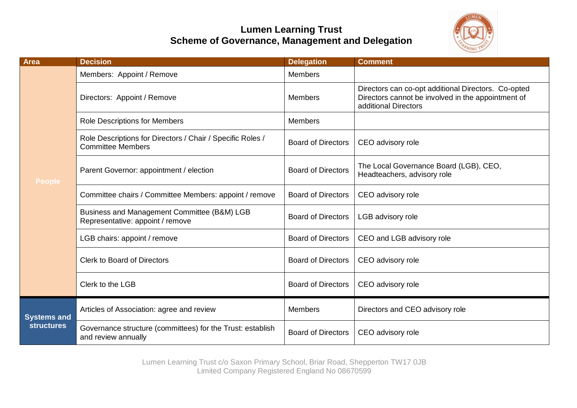## **Lumen Learning Trust Scheme of Governance, Management and Delegation**



| <b>Area</b>                             | <b>Decision</b>                                                                        | <b>Delegation</b>         | <b>Comment</b>                                                                                                                    |
|-----------------------------------------|----------------------------------------------------------------------------------------|---------------------------|-----------------------------------------------------------------------------------------------------------------------------------|
| <b>People</b>                           | Members: Appoint / Remove                                                              | <b>Members</b>            |                                                                                                                                   |
|                                         | Directors: Appoint / Remove                                                            | Members                   | Directors can co-opt additional Directors. Co-opted<br>Directors cannot be involved in the appointment of<br>additional Directors |
|                                         | Role Descriptions for Members                                                          | Members                   |                                                                                                                                   |
|                                         | Role Descriptions for Directors / Chair / Specific Roles /<br><b>Committee Members</b> | <b>Board of Directors</b> | CEO advisory role                                                                                                                 |
|                                         | Parent Governor: appointment / election                                                | <b>Board of Directors</b> | The Local Governance Board (LGB), CEO,<br>Headteachers, advisory role                                                             |
|                                         | Committee chairs / Committee Members: appoint / remove                                 | <b>Board of Directors</b> | CEO advisory role                                                                                                                 |
|                                         | Business and Management Committee (B&M) LGB<br>Representative: appoint / remove        | <b>Board of Directors</b> | LGB advisory role                                                                                                                 |
|                                         | LGB chairs: appoint / remove                                                           | <b>Board of Directors</b> | CEO and LGB advisory role                                                                                                         |
|                                         | <b>Clerk to Board of Directors</b>                                                     | <b>Board of Directors</b> | CEO advisory role                                                                                                                 |
|                                         | Clerk to the LGB                                                                       | <b>Board of Directors</b> | CEO advisory role                                                                                                                 |
| <b>Systems and</b><br><b>structures</b> | Articles of Association: agree and review                                              | <b>Members</b>            | Directors and CEO advisory role                                                                                                   |
|                                         | Governance structure (committees) for the Trust: establish<br>and review annually      | <b>Board of Directors</b> | CEO advisory role                                                                                                                 |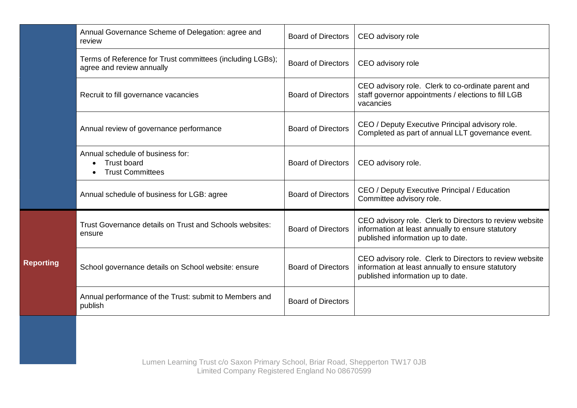|                  | Annual Governance Scheme of Delegation: agree and<br>review                            | <b>Board of Directors</b> | CEO advisory role                                                                                                                                 |
|------------------|----------------------------------------------------------------------------------------|---------------------------|---------------------------------------------------------------------------------------------------------------------------------------------------|
|                  | Terms of Reference for Trust committees (including LGBs);<br>agree and review annually | <b>Board of Directors</b> | CEO advisory role                                                                                                                                 |
|                  | Recruit to fill governance vacancies                                                   | <b>Board of Directors</b> | CEO advisory role. Clerk to co-ordinate parent and<br>staff governor appointments / elections to fill LGB<br>vacancies                            |
|                  | Annual review of governance performance                                                | <b>Board of Directors</b> | CEO / Deputy Executive Principal advisory role.<br>Completed as part of annual LLT governance event.                                              |
|                  | Annual schedule of business for:<br><b>Trust board</b><br><b>Trust Committees</b>      | <b>Board of Directors</b> | CEO advisory role.                                                                                                                                |
|                  | Annual schedule of business for LGB: agree                                             | <b>Board of Directors</b> | CEO / Deputy Executive Principal / Education<br>Committee advisory role.                                                                          |
| <b>Reporting</b> | Trust Governance details on Trust and Schools websites:<br>ensure                      | <b>Board of Directors</b> | CEO advisory role. Clerk to Directors to review website<br>information at least annually to ensure statutory<br>published information up to date. |
|                  | School governance details on School website: ensure                                    | <b>Board of Directors</b> | CEO advisory role. Clerk to Directors to review website<br>information at least annually to ensure statutory<br>published information up to date. |
|                  | Annual performance of the Trust: submit to Members and<br>publish                      | <b>Board of Directors</b> |                                                                                                                                                   |
|                  |                                                                                        |                           |                                                                                                                                                   |
|                  | Lumen Learning Trust c/o Saxon Primary School, Briar Road, Shepperton TW17 0JB         |                           |                                                                                                                                                   |

Limited Company Registered England No 08670599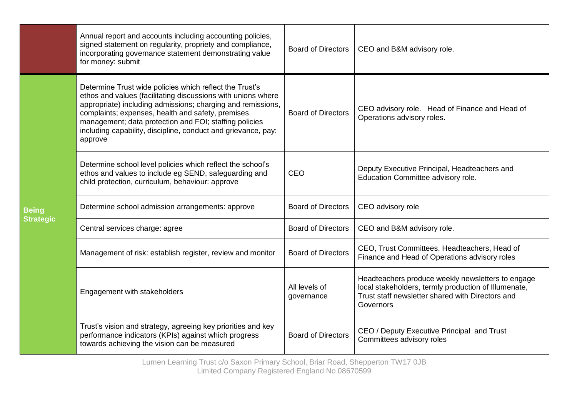|                                  | Annual report and accounts including accounting policies,<br>signed statement on regularity, propriety and compliance,<br>incorporating governance statement demonstrating value<br>for money: submit                                                                                                                                                                             | <b>Board of Directors</b>   | CEO and B&M advisory role.                                                                                                                                                 |
|----------------------------------|-----------------------------------------------------------------------------------------------------------------------------------------------------------------------------------------------------------------------------------------------------------------------------------------------------------------------------------------------------------------------------------|-----------------------------|----------------------------------------------------------------------------------------------------------------------------------------------------------------------------|
| <b>Being</b><br><b>Strategic</b> | Determine Trust wide policies which reflect the Trust's<br>ethos and values (facilitating discussions with unions where<br>appropriate) including admissions; charging and remissions,<br>complaints; expenses, health and safety, premises<br>management; data protection and FOI; staffing policies<br>including capability, discipline, conduct and grievance, pay:<br>approve | <b>Board of Directors</b>   | CEO advisory role. Head of Finance and Head of<br>Operations advisory roles.                                                                                               |
|                                  | Determine school level policies which reflect the school's<br>ethos and values to include eg SEND, safeguarding and<br>child protection, curriculum, behaviour: approve                                                                                                                                                                                                           | CEO                         | Deputy Executive Principal, Headteachers and<br>Education Committee advisory role.                                                                                         |
|                                  | Determine school admission arrangements: approve                                                                                                                                                                                                                                                                                                                                  | <b>Board of Directors</b>   | CEO advisory role                                                                                                                                                          |
|                                  | Central services charge: agree                                                                                                                                                                                                                                                                                                                                                    | <b>Board of Directors</b>   | CEO and B&M advisory role.                                                                                                                                                 |
|                                  | Management of risk: establish register, review and monitor                                                                                                                                                                                                                                                                                                                        | <b>Board of Directors</b>   | CEO, Trust Committees, Headteachers, Head of<br>Finance and Head of Operations advisory roles                                                                              |
|                                  | Engagement with stakeholders                                                                                                                                                                                                                                                                                                                                                      | All levels of<br>governance | Headteachers produce weekly newsletters to engage<br>local stakeholders, termly production of Illumenate,<br>Trust staff newsletter shared with Directors and<br>Governors |
|                                  | Trust's vision and strategy, agreeing key priorities and key<br>performance indicators (KPIs) against which progress<br>towards achieving the vision can be measured                                                                                                                                                                                                              | <b>Board of Directors</b>   | CEO / Deputy Executive Principal and Trust<br>Committees advisory roles                                                                                                    |

Lumen Learning Trust c/o Saxon Primary School, Briar Road, Shepperton TW17 0JB Limited Company Registered England No 08670599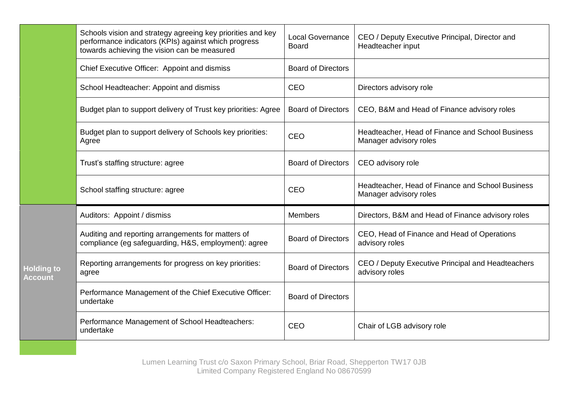|                                     | Schools vision and strategy agreeing key priorities and key<br>performance indicators (KPIs) against which progress<br>towards achieving the vision can be measured | <b>Local Governance</b><br><b>Board</b> | CEO / Deputy Executive Principal, Director and<br>Headteacher input        |
|-------------------------------------|---------------------------------------------------------------------------------------------------------------------------------------------------------------------|-----------------------------------------|----------------------------------------------------------------------------|
|                                     | Chief Executive Officer: Appoint and dismiss                                                                                                                        | <b>Board of Directors</b>               |                                                                            |
|                                     | School Headteacher: Appoint and dismiss                                                                                                                             | <b>CEO</b>                              | Directors advisory role                                                    |
|                                     | Budget plan to support delivery of Trust key priorities: Agree                                                                                                      | <b>Board of Directors</b>               | CEO, B&M and Head of Finance advisory roles                                |
|                                     | Budget plan to support delivery of Schools key priorities:<br>Agree                                                                                                 | <b>CEO</b>                              | Headteacher, Head of Finance and School Business<br>Manager advisory roles |
|                                     | Trust's staffing structure: agree                                                                                                                                   | <b>Board of Directors</b>               | CEO advisory role                                                          |
|                                     | School staffing structure: agree                                                                                                                                    | CEO                                     | Headteacher, Head of Finance and School Business<br>Manager advisory roles |
| <b>Holding to</b><br><b>Account</b> | Auditors: Appoint / dismiss                                                                                                                                         | <b>Members</b>                          | Directors, B&M and Head of Finance advisory roles                          |
|                                     | Auditing and reporting arrangements for matters of<br>compliance (eg safeguarding, H&S, employment): agree                                                          | <b>Board of Directors</b>               | CEO, Head of Finance and Head of Operations<br>advisory roles              |
|                                     | Reporting arrangements for progress on key priorities:<br>agree                                                                                                     | <b>Board of Directors</b>               | CEO / Deputy Executive Principal and Headteachers<br>advisory roles        |
|                                     | Performance Management of the Chief Executive Officer:<br>undertake                                                                                                 | <b>Board of Directors</b>               |                                                                            |
|                                     | Performance Management of School Headteachers:<br>undertake                                                                                                         | CEO                                     | Chair of LGB advisory role                                                 |